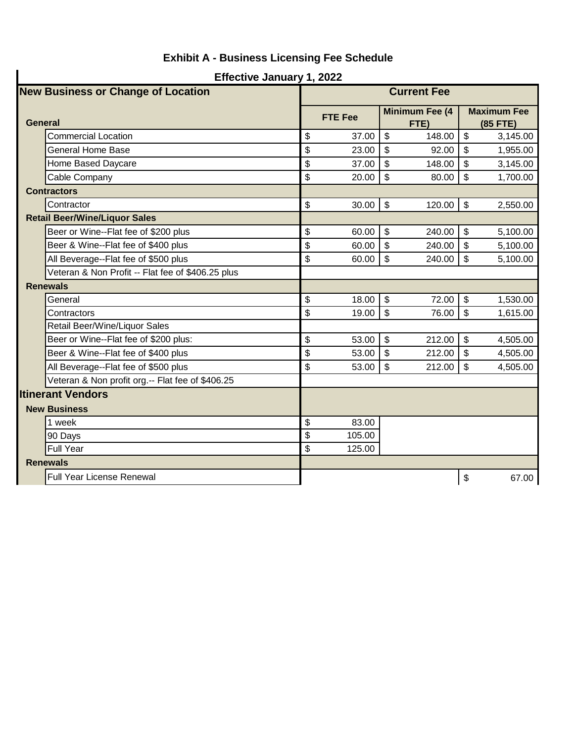| <b>Effective January 1, 2022</b>          |                                                   |                           |                |    |                               |                           |                                |  |
|-------------------------------------------|---------------------------------------------------|---------------------------|----------------|----|-------------------------------|---------------------------|--------------------------------|--|
| <b>New Business or Change of Location</b> |                                                   | <b>Current Fee</b>        |                |    |                               |                           |                                |  |
|                                           | <b>General</b>                                    |                           | <b>FTE Fee</b> |    | <b>Minimum Fee (4</b><br>FTE) |                           | <b>Maximum Fee</b><br>(85 FTE) |  |
|                                           | <b>Commercial Location</b>                        | \$                        | 37.00          | \$ | 148.00                        | \$                        | 3,145.00                       |  |
|                                           | <b>General Home Base</b>                          | \$                        | 23.00          | \$ | 92.00                         | \$                        | 1,955.00                       |  |
|                                           | Home Based Daycare                                | \$                        | 37.00          | \$ | 148.00                        | \$                        | 3,145.00                       |  |
|                                           | Cable Company                                     | \$                        | 20.00          | \$ | 80.00                         | \$                        | 1,700.00                       |  |
|                                           | <b>Contractors</b>                                |                           |                |    |                               |                           |                                |  |
|                                           | Contractor                                        | \$                        | 30.00          | \$ | 120.00                        | $\boldsymbol{\mathsf{S}}$ | 2,550.00                       |  |
|                                           | <b>Retail Beer/Wine/Liquor Sales</b>              |                           |                |    |                               |                           |                                |  |
|                                           | Beer or Wine--Flat fee of \$200 plus              | \$                        | 60.00          | \$ | 240.00                        | \$                        | 5,100.00                       |  |
|                                           | Beer & Wine--Flat fee of \$400 plus               | \$                        | 60.00          | \$ | 240.00                        | \$                        | 5,100.00                       |  |
|                                           | All Beverage--Flat fee of \$500 plus              | \$                        | 60.00          | \$ | 240.00                        | \$                        | 5,100.00                       |  |
|                                           | Veteran & Non Profit -- Flat fee of \$406.25 plus |                           |                |    |                               |                           |                                |  |
|                                           | <b>Renewals</b>                                   |                           |                |    |                               |                           |                                |  |
|                                           | General                                           | \$                        | 18.00          | \$ | 72.00                         | \$                        | 1,530.00                       |  |
|                                           | Contractors                                       | \$                        | 19.00          | \$ | 76.00                         | \$                        | 1,615.00                       |  |
|                                           | Retail Beer/Wine/Liquor Sales                     |                           |                |    |                               |                           |                                |  |
|                                           | Beer or Wine--Flat fee of \$200 plus:             | \$                        | 53.00          | \$ | 212.00                        | \$                        | 4,505.00                       |  |
|                                           | Beer & Wine--Flat fee of \$400 plus               | \$                        | 53.00          | \$ | 212.00                        | \$                        | 4,505.00                       |  |
|                                           | All Beverage--Flat fee of \$500 plus              | \$                        | 53.00          | \$ | 212.00                        | \$                        | 4,505.00                       |  |
|                                           | Veteran & Non profit org.-- Flat fee of \$406.25  |                           |                |    |                               |                           |                                |  |
|                                           | <b>Itinerant Vendors</b>                          |                           |                |    |                               |                           |                                |  |
|                                           | <b>New Business</b>                               |                           |                |    |                               |                           |                                |  |
|                                           | 1 week                                            | $\boldsymbol{\mathsf{S}}$ | 83.00          |    |                               |                           |                                |  |
|                                           | 90 Days                                           | \$                        | 105.00         |    |                               |                           |                                |  |
|                                           | <b>Full Year</b>                                  | \$                        | 125.00         |    |                               |                           |                                |  |
|                                           | <b>Renewals</b>                                   |                           |                |    |                               |                           |                                |  |
|                                           | Full Year License Renewal                         |                           |                |    |                               | \$                        | 67.00                          |  |

## **Exhibit A - Business Licensing Fee Schedule**

 $\mathbf{I}$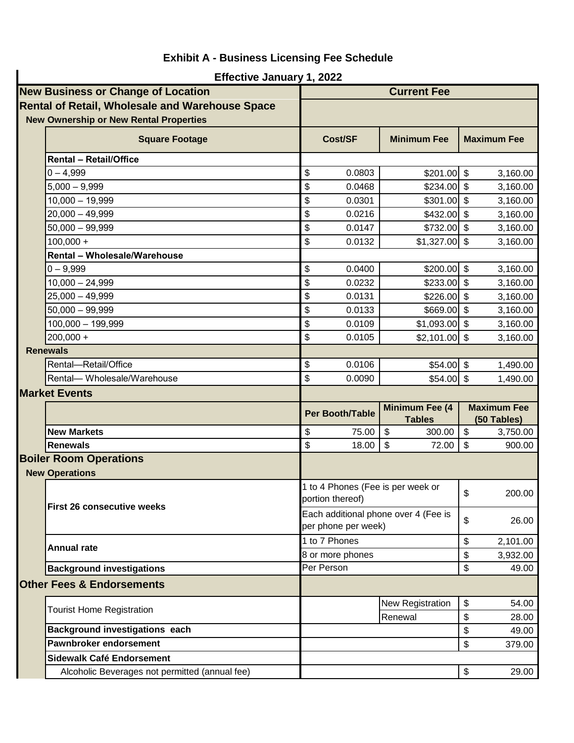|                                           | <b>Effective January 1, 2022</b>                       |    |                                                             |         |                    |                                   |          |  |  |
|-------------------------------------------|--------------------------------------------------------|----|-------------------------------------------------------------|---------|--------------------|-----------------------------------|----------|--|--|
| <b>New Business or Change of Location</b> |                                                        |    | <b>Current Fee</b>                                          |         |                    |                                   |          |  |  |
|                                           | <b>Rental of Retail, Wholesale and Warehouse Space</b> |    |                                                             |         |                    |                                   |          |  |  |
|                                           | <b>New Ownership or New Rental Properties</b>          |    |                                                             |         |                    |                                   |          |  |  |
|                                           | <b>Square Footage</b>                                  |    | Cost/SF                                                     |         | <b>Minimum Fee</b> | <b>Maximum Fee</b>                |          |  |  |
|                                           | <b>Rental - Retail/Office</b>                          |    |                                                             |         |                    |                                   |          |  |  |
|                                           | $0 - 4,999$                                            | \$ | 0.0803                                                      |         | $$201.00$ \$       |                                   | 3,160.00 |  |  |
|                                           | $5,000 - 9,999$                                        | \$ | 0.0468                                                      |         | \$234.00           | \$                                | 3,160.00 |  |  |
|                                           | $10,000 - 19,999$                                      | \$ | 0.0301                                                      |         | $$301.00$ \$       |                                   | 3,160.00 |  |  |
|                                           | $20,000 - 49,999$                                      | \$ | 0.0216                                                      |         | $$432.00$ \\$      |                                   | 3,160.00 |  |  |
|                                           | $50,000 - 99,999$                                      | \$ | 0.0147                                                      |         | $$732.00$ \$       |                                   | 3,160.00 |  |  |
|                                           | $100,000 +$                                            | \$ | 0.0132                                                      |         | \$1,327.00         | \$                                | 3,160.00 |  |  |
|                                           | <b>Rental - Wholesale/Warehouse</b>                    |    |                                                             |         |                    |                                   |          |  |  |
|                                           | $0 - 9,999$                                            | \$ | 0.0400                                                      |         | $$200.00$ \$       |                                   | 3,160.00 |  |  |
|                                           | $10,000 - 24,999$                                      | \$ | 0.0232                                                      |         | \$233.00           | \$                                | 3,160.00 |  |  |
|                                           | $25,000 - 49,999$                                      | \$ | 0.0131                                                      |         | $$226.00$ \$       |                                   | 3,160.00 |  |  |
|                                           | $50,000 - 99,999$                                      | \$ | 0.0133                                                      |         | $$669.00$ \$       |                                   | 3,160.00 |  |  |
|                                           | $100,000 - 199,999$                                    | \$ | 0.0109                                                      |         | $$1,093.00$ \$     |                                   | 3,160.00 |  |  |
|                                           | $200,000 +$                                            | \$ | 0.0105                                                      |         | $$2,101.00$ \\$    |                                   | 3,160.00 |  |  |
|                                           | <b>Renewals</b>                                        |    |                                                             |         |                    |                                   |          |  |  |
|                                           | Rental-Retail/Office                                   | \$ | 0.0106                                                      |         | $$54.00$ \$        |                                   | 1,490.00 |  |  |
|                                           | Rental-Wholesale/Warehouse                             | \$ | 0.0090                                                      |         | $$54.00$ \$        |                                   | 1,490.00 |  |  |
|                                           | <b>Market Events</b>                                   |    |                                                             |         |                    |                                   |          |  |  |
|                                           |                                                        |    | Minimum Fee (4<br><b>Per Booth/Table</b><br><b>Tables</b>   |         |                    | <b>Maximum Fee</b><br>(50 Tables) |          |  |  |
|                                           | <b>New Markets</b>                                     | \$ | 75.00                                                       | \$      | 300.00             | \$                                | 3,750.00 |  |  |
|                                           | <b>Renewals</b>                                        | \$ | 18.00                                                       | \$      | 72.00              | \$                                | 900.00   |  |  |
|                                           | <b>Boiler Room Operations</b>                          |    |                                                             |         |                    |                                   |          |  |  |
| <b>New Operations</b>                     |                                                        |    |                                                             |         |                    |                                   |          |  |  |
|                                           | <b>First 26 consecutive weeks</b>                      |    | 1 to 4 Phones (Fee is per week or<br>portion thereof)       |         |                    | \$                                | 200.00   |  |  |
|                                           |                                                        |    | Each additional phone over 4 (Fee is<br>per phone per week) |         |                    |                                   | 26.00    |  |  |
|                                           | <b>Annual rate</b>                                     |    | 1 to 7 Phones                                               |         |                    | \$                                | 2,101.00 |  |  |
|                                           |                                                        |    | 8 or more phones                                            |         |                    | \$                                | 3,932.00 |  |  |
|                                           | <b>Background investigations</b>                       |    | Per Person                                                  |         |                    | \$                                | 49.00    |  |  |
|                                           | <b>Other Fees &amp; Endorsements</b>                   |    |                                                             |         |                    |                                   |          |  |  |
|                                           | <b>Tourist Home Registration</b>                       |    |                                                             |         | New Registration   | \$                                | 54.00    |  |  |
|                                           |                                                        |    |                                                             | Renewal |                    | \$                                | 28.00    |  |  |
|                                           | <b>Background investigations each</b>                  |    |                                                             |         |                    | \$                                | 49.00    |  |  |
|                                           | Pawnbroker endorsement                                 |    |                                                             |         |                    | \$                                | 379.00   |  |  |
|                                           | <b>Sidewalk Café Endorsement</b>                       |    |                                                             |         |                    |                                   |          |  |  |
|                                           | Alcoholic Beverages not permitted (annual fee)         |    |                                                             |         |                    | $\boldsymbol{\mathsf{S}}$         | 29.00    |  |  |

## **Exhibit A - Business Licensing Fee Schedule**

 $\mathbf{I}$